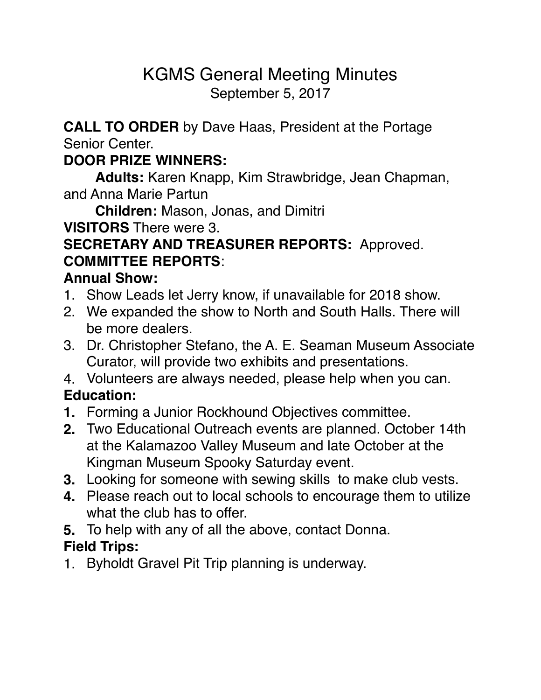# KGMS General Meeting Minutes September 5, 2017

**CALL TO ORDER** by Dave Haas, President at the Portage Senior Center.

#### **DOOR PRIZE WINNERS:**

**Adults:** Karen Knapp, Kim Strawbridge, Jean Chapman, and Anna Marie Partun

**Children:** Mason, Jonas, and Dimitri

**VISITORS** There were 3.

## **SECRETARY AND TREASURER REPORTS:** Approved. **COMMITTEE REPORTS**:

#### **Annual Show:**

- 1. Show Leads let Jerry know, if unavailable for 2018 show.
- 2. We expanded the show to North and South Halls. There will be more dealers.
- 3. Dr. Christopher Stefano, the A. E. Seaman Museum Associate Curator, will provide two exhibits and presentations.
- 4. Volunteers are always needed, please help when you can.

## **Education:**

- **1.** Forming a Junior Rockhound Objectives committee.
- **2.** Two Educational Outreach events are planned. October 14th at the Kalamazoo Valley Museum and late October at the Kingman Museum Spooky Saturday event.
- **3.** Looking for someone with sewing skills to make club vests.
- **4.** Please reach out to local schools to encourage them to utilize what the club has to offer.
- **5.** To help with any of all the above, contact Donna.

## **Field Trips:**

1. Byholdt Gravel Pit Trip planning is underway.